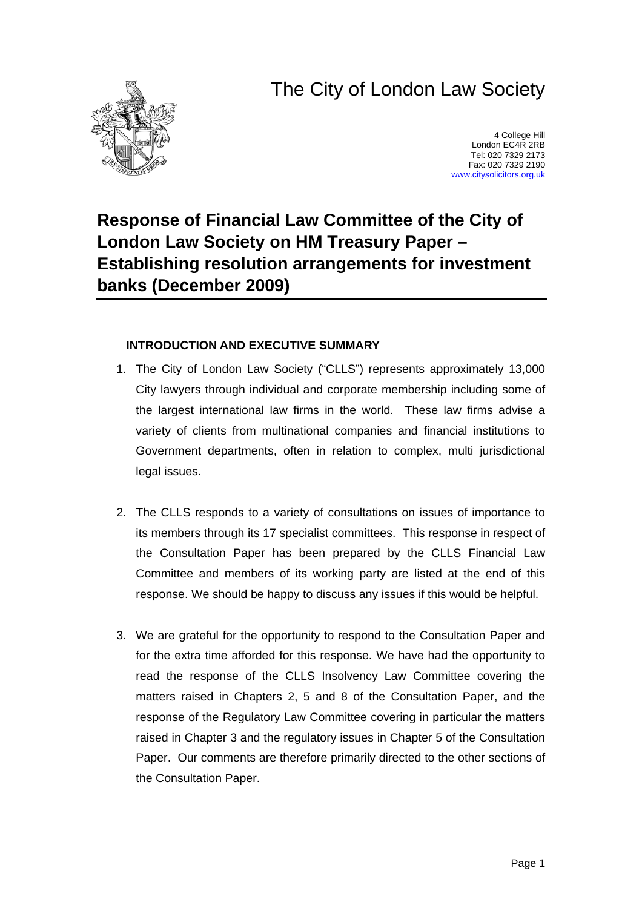# The City of London Law Society



4 College Hill London EC4R 2RB Tel: 020 7329 2173 Fax: 020 7329 2190 [www.citysolicitors.org.uk](http://www.citysolicitors.org.uk/)

# **Response of Financial Law Committee of the City of London Law Society on HM Treasury Paper – Establishing resolution arrangements for investment banks (December 2009)**

#### **INTRODUCTION AND EXECUTIVE SUMMARY**

- 1. The City of London Law Society ("CLLS") represents approximately 13,000 City lawyers through individual and corporate membership including some of the largest international law firms in the world. These law firms advise a variety of clients from multinational companies and financial institutions to Government departments, often in relation to complex, multi jurisdictional legal issues.
- 2. The CLLS responds to a variety of consultations on issues of importance to its members through its 17 specialist committees. This response in respect of the Consultation Paper has been prepared by the CLLS Financial Law Committee and members of its working party are listed at the end of this response. We should be happy to discuss any issues if this would be helpful.
- 3. We are grateful for the opportunity to respond to the Consultation Paper and for the extra time afforded for this response. We have had the opportunity to read the response of the CLLS Insolvency Law Committee covering the matters raised in Chapters 2, 5 and 8 of the Consultation Paper, and the response of the Regulatory Law Committee covering in particular the matters raised in Chapter 3 and the regulatory issues in Chapter 5 of the Consultation Paper. Our comments are therefore primarily directed to the other sections of the Consultation Paper.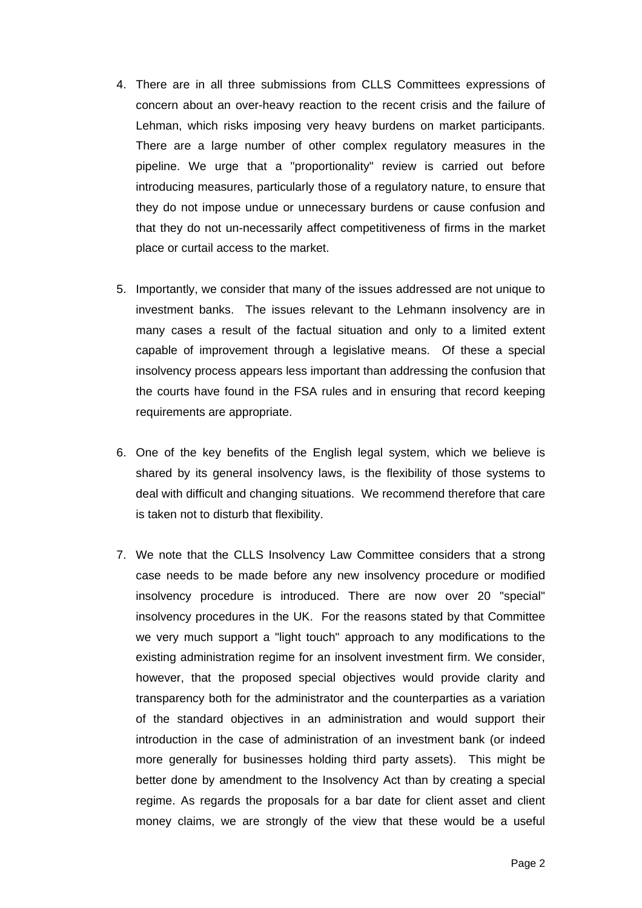- 4. There are in all three submissions from CLLS Committees expressions of concern about an over-heavy reaction to the recent crisis and the failure of Lehman, which risks imposing very heavy burdens on market participants. There are a large number of other complex regulatory measures in the pipeline. We urge that a "proportionality" review is carried out before introducing measures, particularly those of a regulatory nature, to ensure that they do not impose undue or unnecessary burdens or cause confusion and that they do not un-necessarily affect competitiveness of firms in the market place or curtail access to the market.
- 5. Importantly, we consider that many of the issues addressed are not unique to investment banks. The issues relevant to the Lehmann insolvency are in many cases a result of the factual situation and only to a limited extent capable of improvement through a legislative means. Of these a special insolvency process appears less important than addressing the confusion that the courts have found in the FSA rules and in ensuring that record keeping requirements are appropriate.
- 6. One of the key benefits of the English legal system, which we believe is shared by its general insolvency laws, is the flexibility of those systems to deal with difficult and changing situations. We recommend therefore that care is taken not to disturb that flexibility.
- 7. We note that the CLLS Insolvency Law Committee considers that a strong case needs to be made before any new insolvency procedure or modified insolvency procedure is introduced. There are now over 20 "special" insolvency procedures in the UK. For the reasons stated by that Committee we very much support a "light touch" approach to any modifications to the existing administration regime for an insolvent investment firm. We consider, however, that the proposed special objectives would provide clarity and transparency both for the administrator and the counterparties as a variation of the standard objectives in an administration and would support their introduction in the case of administration of an investment bank (or indeed more generally for businesses holding third party assets). This might be better done by amendment to the Insolvency Act than by creating a special regime. As regards the proposals for a bar date for client asset and client money claims, we are strongly of the view that these would be a useful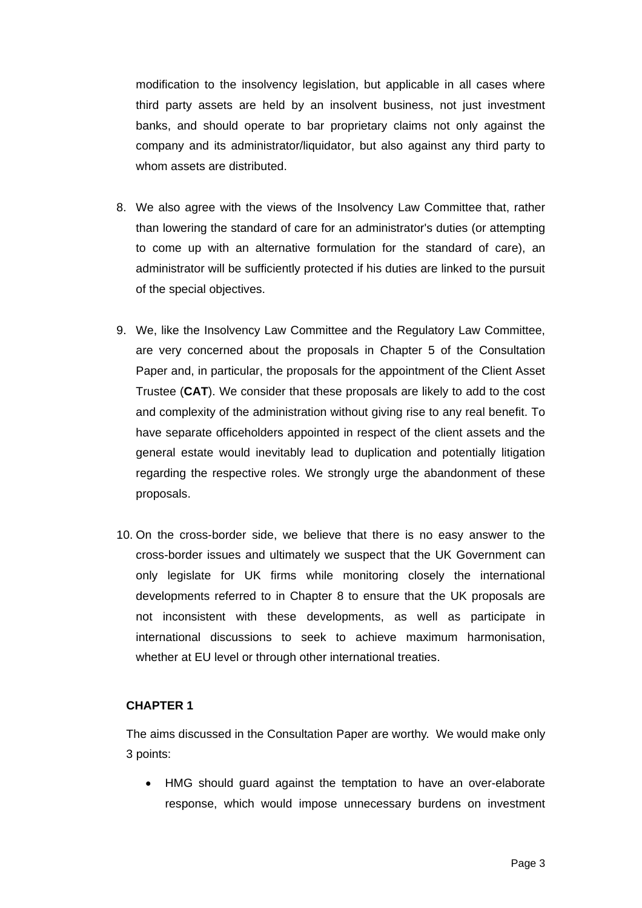modification to the insolvency legislation, but applicable in all cases where third party assets are held by an insolvent business, not just investment banks, and should operate to bar proprietary claims not only against the company and its administrator/liquidator, but also against any third party to whom assets are distributed.

- 8. We also agree with the views of the Insolvency Law Committee that, rather than lowering the standard of care for an administrator's duties (or attempting to come up with an alternative formulation for the standard of care), an administrator will be sufficiently protected if his duties are linked to the pursuit of the special objectives.
- 9. We, like the Insolvency Law Committee and the Regulatory Law Committee, are very concerned about the proposals in Chapter 5 of the Consultation Paper and, in particular, the proposals for the appointment of the Client Asset Trustee (**CAT**). We consider that these proposals are likely to add to the cost and complexity of the administration without giving rise to any real benefit. To have separate officeholders appointed in respect of the client assets and the general estate would inevitably lead to duplication and potentially litigation regarding the respective roles. We strongly urge the abandonment of these proposals.
- 10. On the cross-border side, we believe that there is no easy answer to the cross-border issues and ultimately we suspect that the UK Government can only legislate for UK firms while monitoring closely the international developments referred to in Chapter 8 to ensure that the UK proposals are not inconsistent with these developments, as well as participate in international discussions to seek to achieve maximum harmonisation, whether at EU level or through other international treaties.

#### **CHAPTER 1**

The aims discussed in the Consultation Paper are worthy. We would make only 3 points:

• HMG should guard against the temptation to have an over-elaborate response, which would impose unnecessary burdens on investment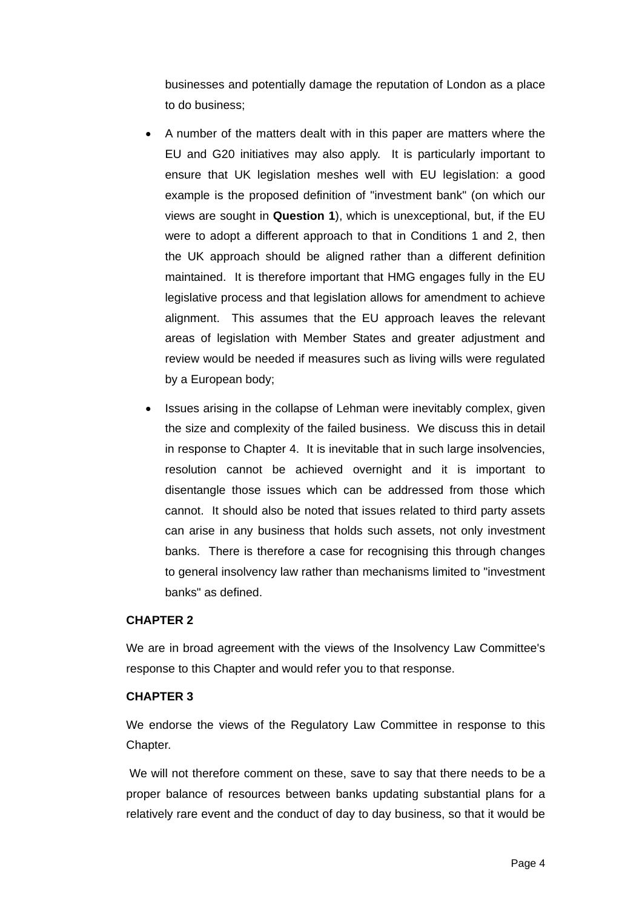businesses and potentially damage the reputation of London as a place to do business;

- A number of the matters dealt with in this paper are matters where the EU and G20 initiatives may also apply. It is particularly important to ensure that UK legislation meshes well with EU legislation: a good example is the proposed definition of "investment bank" (on which our views are sought in **Question 1**), which is unexceptional, but, if the EU were to adopt a different approach to that in Conditions 1 and 2, then the UK approach should be aligned rather than a different definition maintained. It is therefore important that HMG engages fully in the EU legislative process and that legislation allows for amendment to achieve alignment. This assumes that the EU approach leaves the relevant areas of legislation with Member States and greater adjustment and review would be needed if measures such as living wills were regulated by a European body;
- Issues arising in the collapse of Lehman were inevitably complex, given the size and complexity of the failed business. We discuss this in detail in response to Chapter 4. It is inevitable that in such large insolvencies, resolution cannot be achieved overnight and it is important to disentangle those issues which can be addressed from those which cannot. It should also be noted that issues related to third party assets can arise in any business that holds such assets, not only investment banks. There is therefore a case for recognising this through changes to general insolvency law rather than mechanisms limited to "investment banks" as defined.

#### **CHAPTER 2**

We are in broad agreement with the views of the Insolvency Law Committee's response to this Chapter and would refer you to that response.

#### **CHAPTER 3**

We endorse the views of the Regulatory Law Committee in response to this Chapter.

We will not therefore comment on these, save to say that there needs to be a proper balance of resources between banks updating substantial plans for a relatively rare event and the conduct of day to day business, so that it would be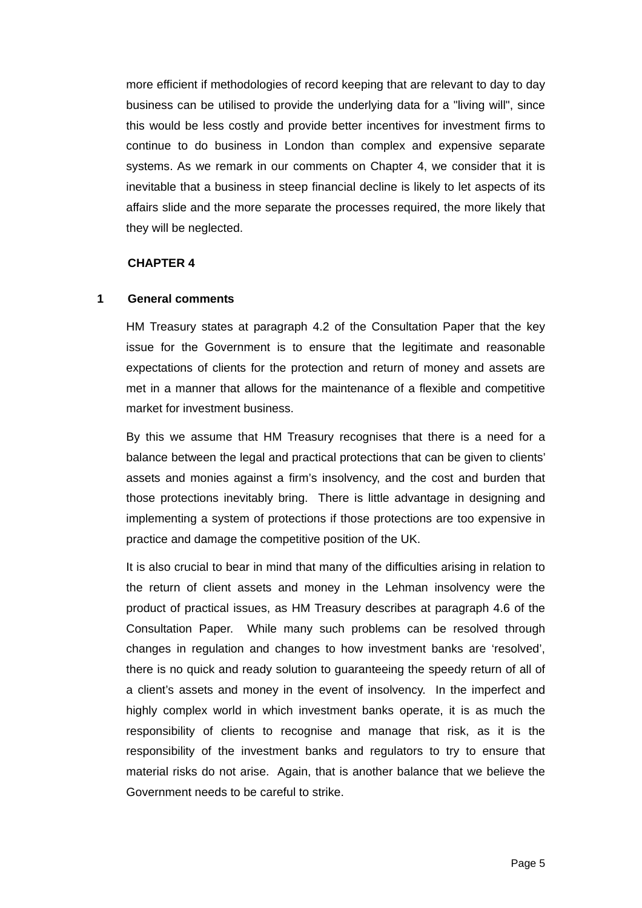more efficient if methodologies of record keeping that are relevant to day to day business can be utilised to provide the underlying data for a "living will", since this would be less costly and provide better incentives for investment firms to continue to do business in London than complex and expensive separate systems. As we remark in our comments on Chapter 4, we consider that it is inevitable that a business in steep financial decline is likely to let aspects of its affairs slide and the more separate the processes required, the more likely that they will be neglected.

#### **CHAPTER 4**

#### **1 General comments**

HM Treasury states at paragraph 4.2 of the Consultation Paper that the key issue for the Government is to ensure that the legitimate and reasonable expectations of clients for the protection and return of money and assets are met in a manner that allows for the maintenance of a flexible and competitive market for investment business.

By this we assume that HM Treasury recognises that there is a need for a balance between the legal and practical protections that can be given to clients' assets and monies against a firm's insolvency, and the cost and burden that those protections inevitably bring. There is little advantage in designing and implementing a system of protections if those protections are too expensive in practice and damage the competitive position of the UK.

It is also crucial to bear in mind that many of the difficulties arising in relation to the return of client assets and money in the Lehman insolvency were the product of practical issues, as HM Treasury describes at paragraph 4.6 of the Consultation Paper. While many such problems can be resolved through changes in regulation and changes to how investment banks are 'resolved', there is no quick and ready solution to guaranteeing the speedy return of all of a client's assets and money in the event of insolvency. In the imperfect and highly complex world in which investment banks operate, it is as much the responsibility of clients to recognise and manage that risk, as it is the responsibility of the investment banks and regulators to try to ensure that material risks do not arise. Again, that is another balance that we believe the Government needs to be careful to strike.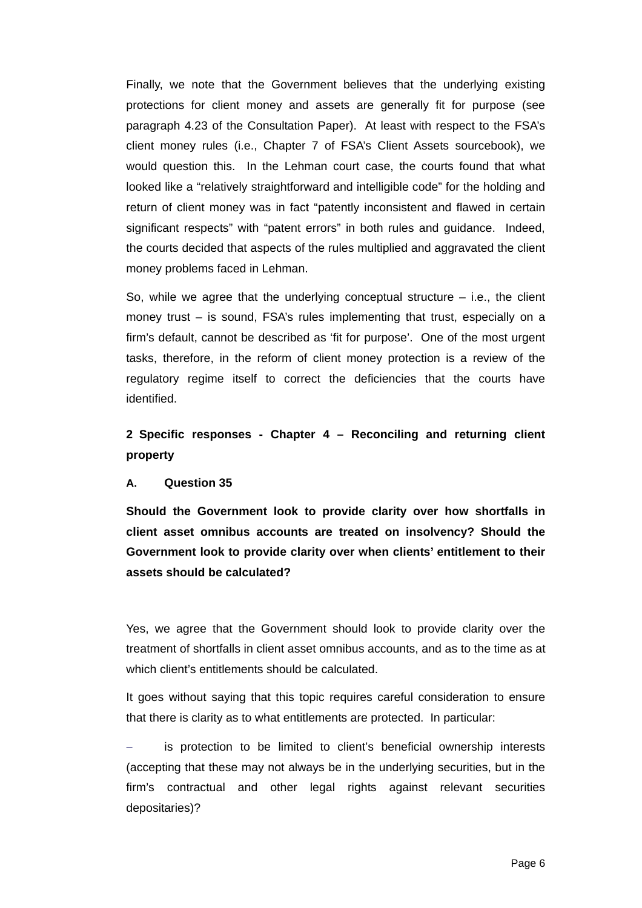Finally, we note that the Government believes that the underlying existing protections for client money and assets are generally fit for purpose (see paragraph 4.23 of the Consultation Paper). At least with respect to the FSA's client money rules (i.e., Chapter 7 of FSA's Client Assets sourcebook), we would question this. In the Lehman court case, the courts found that what looked like a "relatively straightforward and intelligible code" for the holding and return of client money was in fact "patently inconsistent and flawed in certain significant respects" with "patent errors" in both rules and guidance. Indeed, the courts decided that aspects of the rules multiplied and aggravated the client money problems faced in Lehman.

So, while we agree that the underlying conceptual structure  $-$  i.e., the client money trust – is sound, FSA's rules implementing that trust, especially on a firm's default, cannot be described as 'fit for purpose'. One of the most urgent tasks, therefore, in the reform of client money protection is a review of the regulatory regime itself to correct the deficiencies that the courts have identified.

**2 Specific responses - Chapter 4 – Reconciling and returning client property**

#### **A. Question 35**

**Should the Government look to provide clarity over how shortfalls in client asset omnibus accounts are treated on insolvency? Should the Government look to provide clarity over when clients' entitlement to their assets should be calculated?** 

Yes, we agree that the Government should look to provide clarity over the treatment of shortfalls in client asset omnibus accounts, and as to the time as at which client's entitlements should be calculated.

It goes without saying that this topic requires careful consideration to ensure that there is clarity as to what entitlements are protected. In particular:

is protection to be limited to client's beneficial ownership interests (accepting that these may not always be in the underlying securities, but in the firm's contractual and other legal rights against relevant securities depositaries)?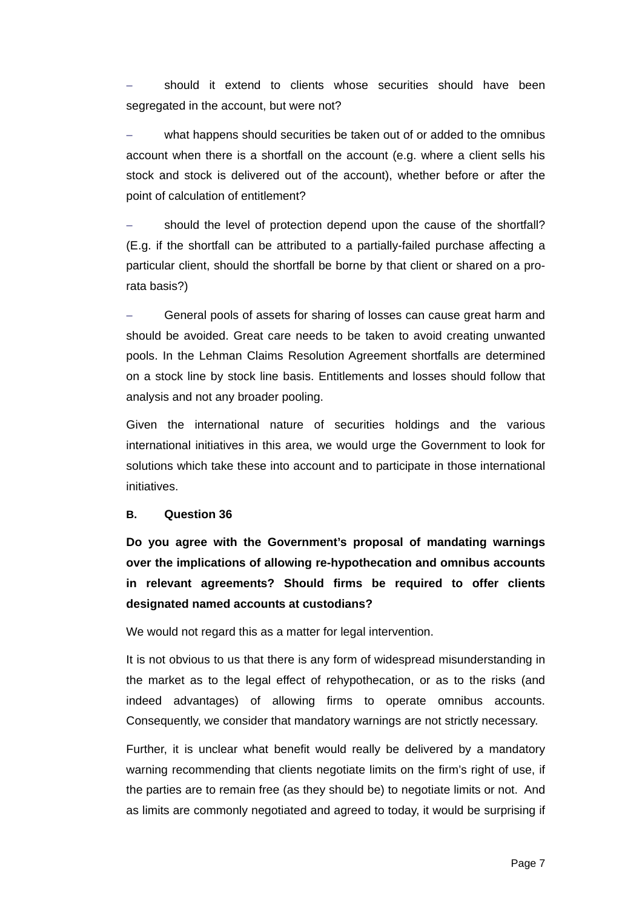should it extend to clients whose securities should have been segregated in the account, but were not?

what happens should securities be taken out of or added to the omnibus account when there is a shortfall on the account (e.g. where a client sells his stock and stock is delivered out of the account), whether before or after the point of calculation of entitlement?

should the level of protection depend upon the cause of the shortfall? (E.g. if the shortfall can be attributed to a partially-failed purchase affecting a particular client, should the shortfall be borne by that client or shared on a prorata basis?)

General pools of assets for sharing of losses can cause great harm and should be avoided. Great care needs to be taken to avoid creating unwanted pools. In the Lehman Claims Resolution Agreement shortfalls are determined on a stock line by stock line basis. Entitlements and losses should follow that analysis and not any broader pooling.

Given the international nature of securities holdings and the various international initiatives in this area, we would urge the Government to look for solutions which take these into account and to participate in those international initiatives.

#### **B. Question 36**

**Do you agree with the Government's proposal of mandating warnings over the implications of allowing re-hypothecation and omnibus accounts in relevant agreements? Should firms be required to offer clients designated named accounts at custodians?** 

We would not regard this as a matter for legal intervention.

It is not obvious to us that there is any form of widespread misunderstanding in the market as to the legal effect of rehypothecation, or as to the risks (and indeed advantages) of allowing firms to operate omnibus accounts. Consequently, we consider that mandatory warnings are not strictly necessary.

Further, it is unclear what benefit would really be delivered by a mandatory warning recommending that clients negotiate limits on the firm's right of use, if the parties are to remain free (as they should be) to negotiate limits or not. And as limits are commonly negotiated and agreed to today, it would be surprising if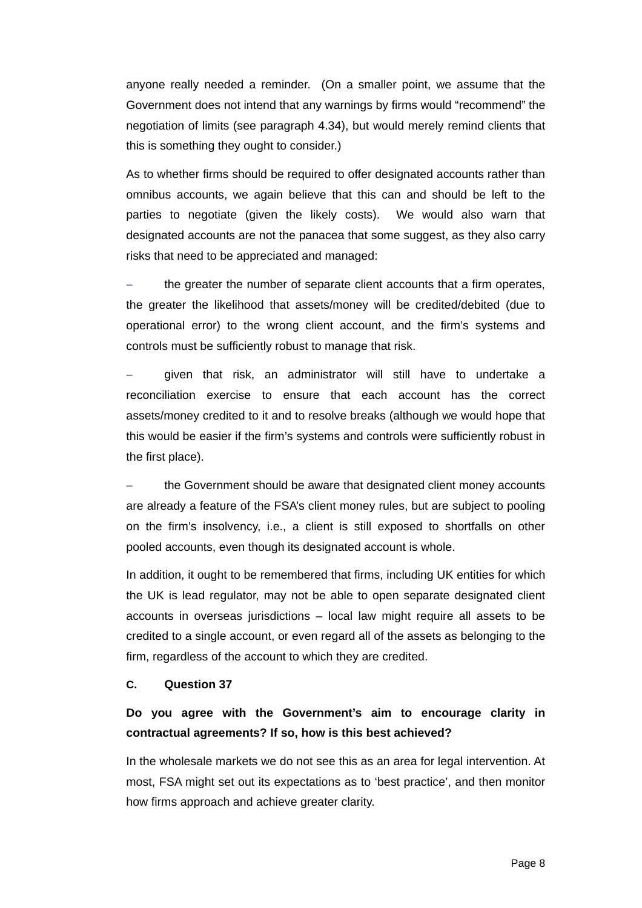anyone really needed a reminder. (On a smaller point, we assume that the Government does not intend that any warnings by firms would "recommend" the negotiation of limits (see paragraph 4.34), but would merely remind clients that this is something they ought to consider.)

As to whether firms should be required to offer designated accounts rather than omnibus accounts, we again believe that this can and should be left to the parties to negotiate (given the likely costs). We would also warn that designated accounts are not the panacea that some suggest, as they also carry risks that need to be appreciated and managed:

the greater the number of separate client accounts that a firm operates, the greater the likelihood that assets/money will be credited/debited (due to operational error) to the wrong client account, and the firm's systems and controls must be sufficiently robust to manage that risk.

given that risk, an administrator will still have to undertake a reconciliation exercise to ensure that each account has the correct assets/money credited to it and to resolve breaks (although we would hope that this would be easier if the firm's systems and controls were sufficiently robust in the first place).

the Government should be aware that designated client money accounts are already a feature of the FSA's client money rules, but are subject to pooling on the firm's insolvency, i.e., a client is still exposed to shortfalls on other pooled accounts, even though its designated account is whole.

In addition, it ought to be remembered that firms, including UK entities for which the UK is lead regulator, may not be able to open separate designated client accounts in overseas jurisdictions – local law might require all assets to be credited to a single account, or even regard all of the assets as belonging to the firm, regardless of the account to which they are credited.

#### **C. Question 37**

### **Do you agree with the Government's aim to encourage clarity in contractual agreements? If so, how is this best achieved?**

In the wholesale markets we do not see this as an area for legal intervention. At most, FSA might set out its expectations as to 'best practice', and then monitor how firms approach and achieve greater clarity.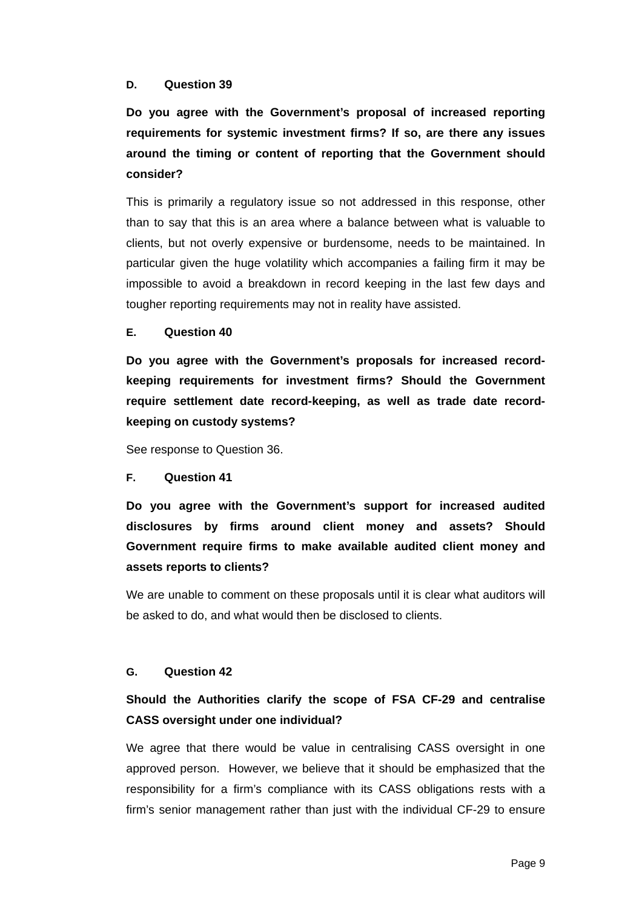#### **D. Question 39**

**Do you agree with the Government's proposal of increased reporting requirements for systemic investment firms? If so, are there any issues around the timing or content of reporting that the Government should consider?** 

This is primarily a regulatory issue so not addressed in this response, other than to say that this is an area where a balance between what is valuable to clients, but not overly expensive or burdensome, needs to be maintained. In particular given the huge volatility which accompanies a failing firm it may be impossible to avoid a breakdown in record keeping in the last few days and tougher reporting requirements may not in reality have assisted.

#### **E. Question 40**

**Do you agree with the Government's proposals for increased recordkeeping requirements for investment firms? Should the Government require settlement date record-keeping, as well as trade date recordkeeping on custody systems?** 

See response to Question 36.

#### **F. Question 41**

**Do you agree with the Government's support for increased audited disclosures by firms around client money and assets? Should Government require firms to make available audited client money and assets reports to clients?** 

We are unable to comment on these proposals until it is clear what auditors will be asked to do, and what would then be disclosed to clients.

#### **G. Question 42**

# **Should the Authorities clarify the scope of FSA CF-29 and centralise CASS oversight under one individual?**

We agree that there would be value in centralising CASS oversight in one approved person. However, we believe that it should be emphasized that the responsibility for a firm's compliance with its CASS obligations rests with a firm's senior management rather than just with the individual CF-29 to ensure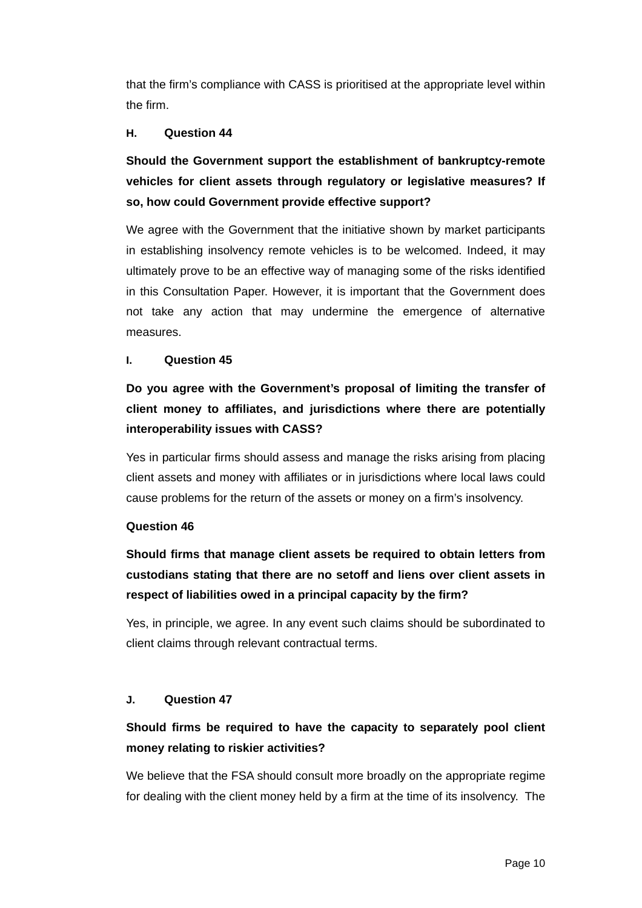that the firm's compliance with CASS is prioritised at the appropriate level within the firm.

#### **H. Question 44**

**Should the Government support the establishment of bankruptcy-remote vehicles for client assets through regulatory or legislative measures? If so, how could Government provide effective support?** 

We agree with the Government that the initiative shown by market participants in establishing insolvency remote vehicles is to be welcomed. Indeed, it may ultimately prove to be an effective way of managing some of the risks identified in this Consultation Paper. However, it is important that the Government does not take any action that may undermine the emergence of alternative measures.

#### **I. Question 45**

# **Do you agree with the Government's proposal of limiting the transfer of client money to affiliates, and jurisdictions where there are potentially interoperability issues with CASS?**

Yes in particular firms should assess and manage the risks arising from placing client assets and money with affiliates or in jurisdictions where local laws could cause problems for the return of the assets or money on a firm's insolvency.

#### **Question 46**

**Should firms that manage client assets be required to obtain letters from custodians stating that there are no setoff and liens over client assets in respect of liabilities owed in a principal capacity by the firm?** 

Yes, in principle, we agree. In any event such claims should be subordinated to client claims through relevant contractual terms.

#### **J. Question 47**

# **Should firms be required to have the capacity to separately pool client money relating to riskier activities?**

We believe that the FSA should consult more broadly on the appropriate regime for dealing with the client money held by a firm at the time of its insolvency. The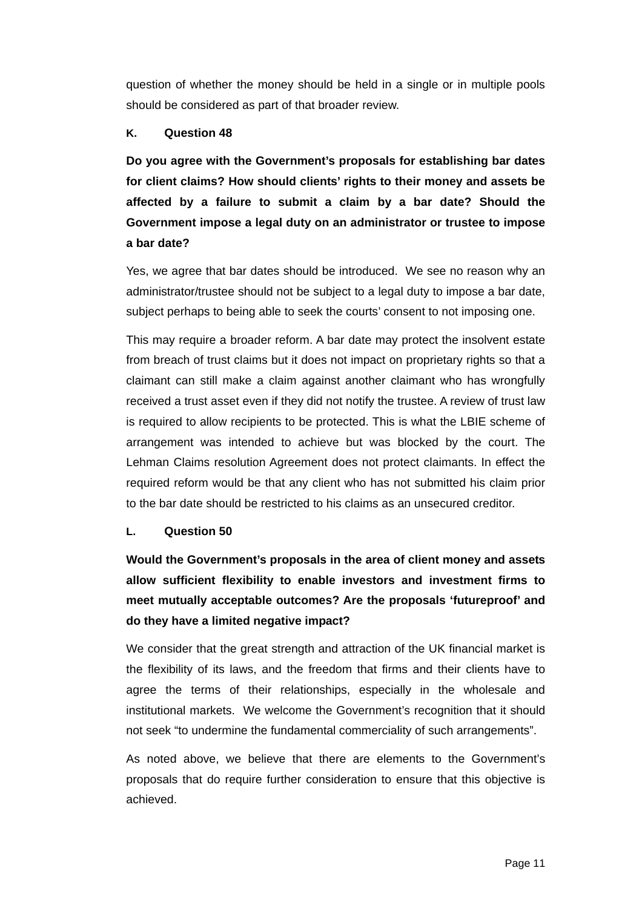question of whether the money should be held in a single or in multiple pools should be considered as part of that broader review.

#### **K. Question 48**

**Do you agree with the Government's proposals for establishing bar dates for client claims? How should clients' rights to their money and assets be affected by a failure to submit a claim by a bar date? Should the Government impose a legal duty on an administrator or trustee to impose a bar date?** 

Yes, we agree that bar dates should be introduced. We see no reason why an administrator/trustee should not be subject to a legal duty to impose a bar date, subject perhaps to being able to seek the courts' consent to not imposing one.

This may require a broader reform. A bar date may protect the insolvent estate from breach of trust claims but it does not impact on proprietary rights so that a claimant can still make a claim against another claimant who has wrongfully received a trust asset even if they did not notify the trustee. A review of trust law is required to allow recipients to be protected. This is what the LBIE scheme of arrangement was intended to achieve but was blocked by the court. The Lehman Claims resolution Agreement does not protect claimants. In effect the required reform would be that any client who has not submitted his claim prior to the bar date should be restricted to his claims as an unsecured creditor.

#### **L. Question 50**

**Would the Government's proposals in the area of client money and assets allow sufficient flexibility to enable investors and investment firms to meet mutually acceptable outcomes? Are the proposals 'futureproof' and do they have a limited negative impact?** 

We consider that the great strength and attraction of the UK financial market is the flexibility of its laws, and the freedom that firms and their clients have to agree the terms of their relationships, especially in the wholesale and institutional markets. We welcome the Government's recognition that it should not seek "to undermine the fundamental commerciality of such arrangements".

As noted above, we believe that there are elements to the Government's proposals that do require further consideration to ensure that this objective is achieved.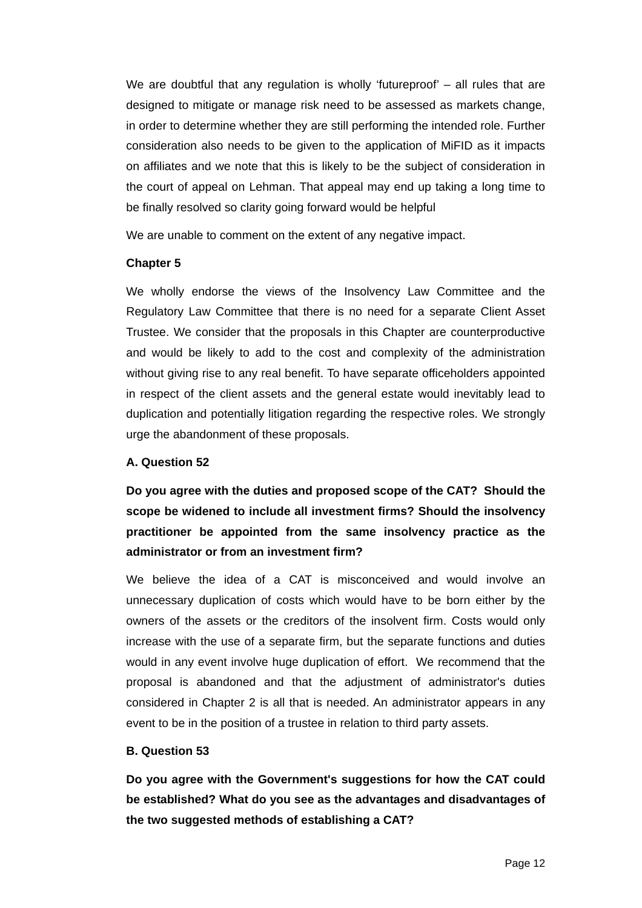We are doubtful that any regulation is wholly 'futureproof' – all rules that are designed to mitigate or manage risk need to be assessed as markets change, in order to determine whether they are still performing the intended role. Further consideration also needs to be given to the application of MiFID as it impacts on affiliates and we note that this is likely to be the subject of consideration in the court of appeal on Lehman. That appeal may end up taking a long time to be finally resolved so clarity going forward would be helpful

We are unable to comment on the extent of any negative impact.

#### **Chapter 5**

We wholly endorse the views of the Insolvency Law Committee and the Regulatory Law Committee that there is no need for a separate Client Asset Trustee. We consider that the proposals in this Chapter are counterproductive and would be likely to add to the cost and complexity of the administration without giving rise to any real benefit. To have separate officeholders appointed in respect of the client assets and the general estate would inevitably lead to duplication and potentially litigation regarding the respective roles. We strongly urge the abandonment of these proposals.

#### **A. Question 52**

**Do you agree with the duties and proposed scope of the CAT? Should the scope be widened to include all investment firms? Should the insolvency practitioner be appointed from the same insolvency practice as the administrator or from an investment firm?**

We believe the idea of a CAT is misconceived and would involve an unnecessary duplication of costs which would have to be born either by the owners of the assets or the creditors of the insolvent firm. Costs would only increase with the use of a separate firm, but the separate functions and duties would in any event involve huge duplication of effort. We recommend that the proposal is abandoned and that the adjustment of administrator's duties considered in Chapter 2 is all that is needed. An administrator appears in any event to be in the position of a trustee in relation to third party assets.

#### **B. Question 53**

**Do you agree with the Government's suggestions for how the CAT could be established? What do you see as the advantages and disadvantages of the two suggested methods of establishing a CAT?**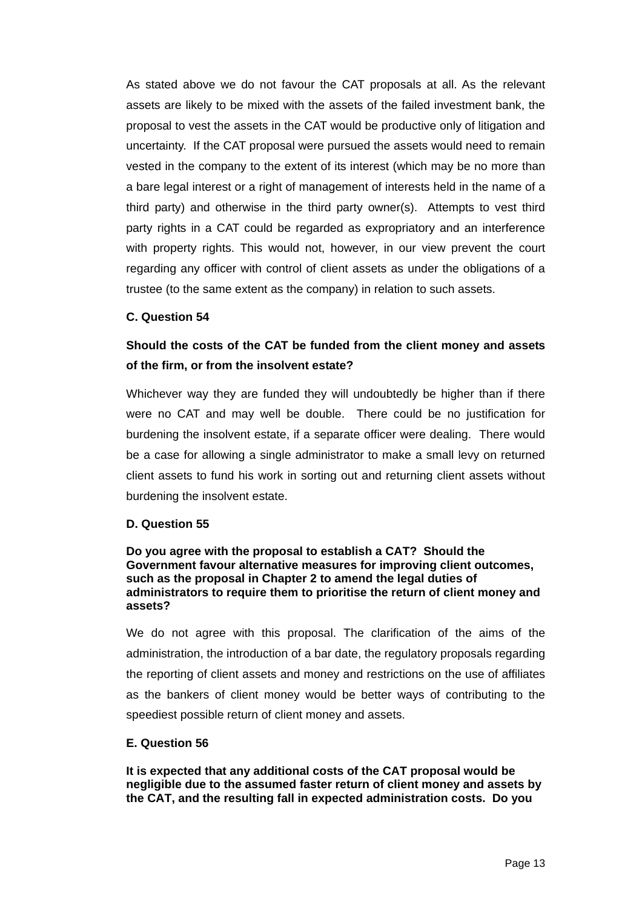As stated above we do not favour the CAT proposals at all. As the relevant assets are likely to be mixed with the assets of the failed investment bank, the proposal to vest the assets in the CAT would be productive only of litigation and uncertainty. If the CAT proposal were pursued the assets would need to remain vested in the company to the extent of its interest (which may be no more than a bare legal interest or a right of management of interests held in the name of a third party) and otherwise in the third party owner(s). Attempts to vest third party rights in a CAT could be regarded as expropriatory and an interference with property rights. This would not, however, in our view prevent the court regarding any officer with control of client assets as under the obligations of a trustee (to the same extent as the company) in relation to such assets.

#### **C. Question 54**

### **Should the costs of the CAT be funded from the client money and assets of the firm, or from the insolvent estate?**

Whichever way they are funded they will undoubtedly be higher than if there were no CAT and may well be double. There could be no justification for burdening the insolvent estate, if a separate officer were dealing. There would be a case for allowing a single administrator to make a small levy on returned client assets to fund his work in sorting out and returning client assets without burdening the insolvent estate.

#### **D. Question 55**

#### **Do you agree with the proposal to establish a CAT? Should the Government favour alternative measures for improving client outcomes, such as the proposal in Chapter 2 to amend the legal duties of administrators to require them to prioritise the return of client money and assets?**

We do not agree with this proposal. The clarification of the aims of the administration, the introduction of a bar date, the regulatory proposals regarding the reporting of client assets and money and restrictions on the use of affiliates as the bankers of client money would be better ways of contributing to the speediest possible return of client money and assets.

#### **E. Question 56**

**It is expected that any additional costs of the CAT proposal would be negligible due to the assumed faster return of client money and assets by the CAT, and the resulting fall in expected administration costs. Do you**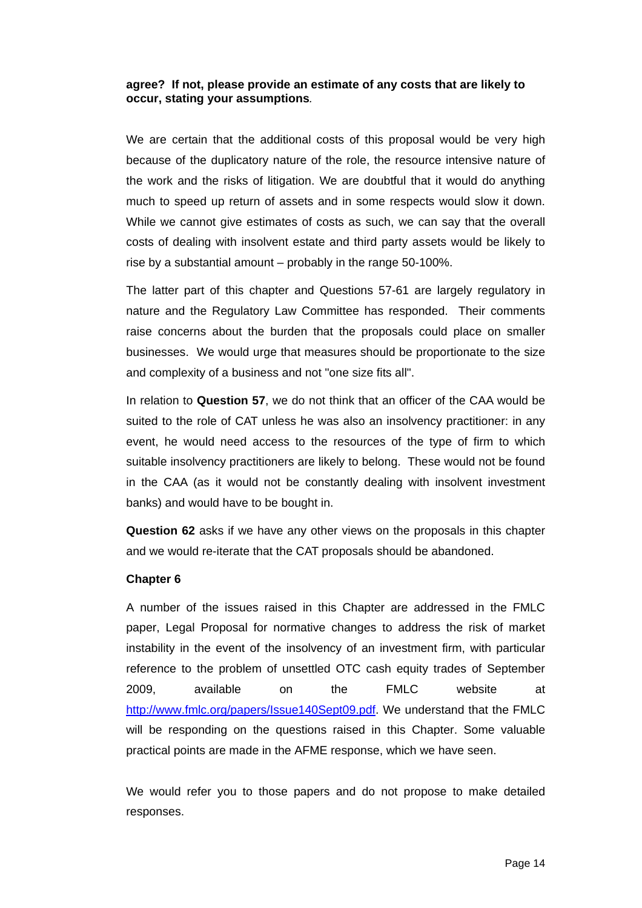#### **agree? If not, please provide an estimate of any costs that are likely to occur, stating your assumptions***.*

We are certain that the additional costs of this proposal would be very high because of the duplicatory nature of the role, the resource intensive nature of the work and the risks of litigation. We are doubtful that it would do anything much to speed up return of assets and in some respects would slow it down. While we cannot give estimates of costs as such, we can say that the overall costs of dealing with insolvent estate and third party assets would be likely to rise by a substantial amount – probably in the range 50-100%.

The latter part of this chapter and Questions 57-61 are largely regulatory in nature and the Regulatory Law Committee has responded. Their comments raise concerns about the burden that the proposals could place on smaller businesses. We would urge that measures should be proportionate to the size and complexity of a business and not "one size fits all".

In relation to **Question 57**, we do not think that an officer of the CAA would be suited to the role of CAT unless he was also an insolvency practitioner: in any event, he would need access to the resources of the type of firm to which suitable insolvency practitioners are likely to belong. These would not be found in the CAA (as it would not be constantly dealing with insolvent investment banks) and would have to be bought in.

**Question 62** asks if we have any other views on the proposals in this chapter and we would re-iterate that the CAT proposals should be abandoned.

#### **Chapter 6**

A number of the issues raised in this Chapter are addressed in the FMLC paper, Legal Proposal for normative changes to address the risk of market instability in the event of the insolvency of an investment firm, with particular reference to the problem of unsettled OTC cash equity trades of September 2009, available on the FMLC website at <http://www.fmlc.org/papers/Issue140Sept09.pdf>. We understand that the FMLC will be responding on the questions raised in this Chapter. Some valuable practical points are made in the AFME response, which we have seen.

We would refer you to those papers and do not propose to make detailed responses.